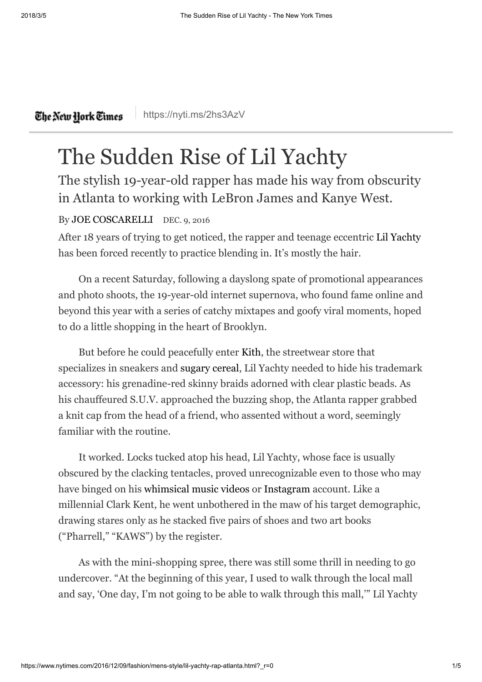The New York Times <https://nyti.ms/2hs3AzV>

## The Sudden Rise of Lil Yachty

The stylish 19-year-old rapper has made his way from obscurity in Atlanta to working with LeBron James and Kanye West.

## By [JOE COSCARELLI](https://www.nytimes.com/by/joe-coscarelli) DEC. 9, 2016

After 18 years of trying to get noticed, the rapper and teenage eccentric Lil [Yachty](https://www.lilyachty.com/) has been forced recently to practice blending in. It's mostly the hair.

On a recent Saturday, following a dayslong spate of promotional appearances and photo shoots, the 19-year-old internet supernova, who found fame online and beyond this year with a series of catchy mixtapes and goofy viral moments, hoped to do a little shopping in the heart of Brooklyn.

But before he could peacefully enter [Kith](https://kithnyc.com/), the streetwear store that specializes in sneakers and [sugary](http://www.nytimes.com/2015/08/26/dining/kith-treats-cereal-bar.html) cereal, Lil Yachty needed to hide his trademark accessory: his grenadine-red skinny braids adorned with clear plastic beads. As his chauffeured S.U.V. approached the buzzing shop, the Atlanta rapper grabbed a knit cap from the head of a friend, who assented without a word, seemingly familiar with the routine.

It worked. Locks tucked atop his head, Lil Yachty, whose face is usually obscured by the clacking tentacles, proved unrecognizable even to those who may have binged on his [whimsical](https://www.youtube.com/watch?v=Jb1PwmimOYI) music videos or [Instagram](https://www.instagram.com/lilyachty/?hl=en) account. Like a millennial Clark Kent, he went unbothered in the maw of his target demographic, drawing stares only as he stacked five pairs of shoes and two art books ("Pharrell," "KAWS") by the register.

As with the mini-shopping spree, there was still some thrill in needing to go undercover. "At the beginning of this year, I used to walk through the local mall and say, 'One day, I'm not going to be able to walk through this mall,'" Lil Yachty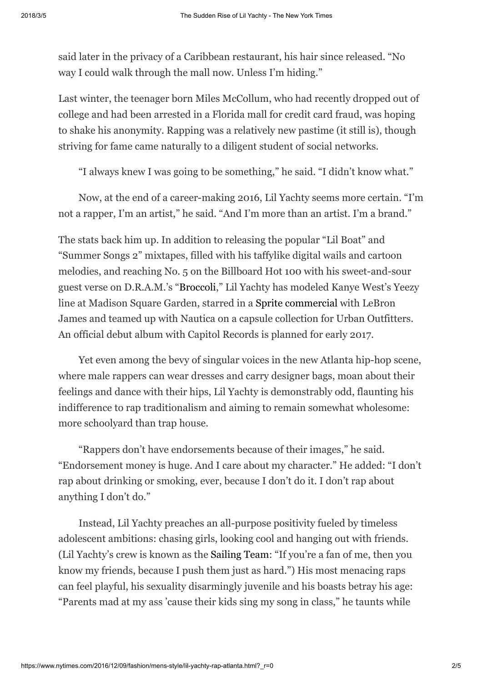said later in the privacy of a Caribbean restaurant, his hair since released. "No way I could walk through the mall now. Unless I'm hiding."

Last winter, the teenager born Miles McCollum, who had recently dropped out of college and had been arrested in a Florida mall for credit card fraud, was hoping to shake his anonymity. Rapping was a relatively new pastime (it still is), though striving for fame came naturally to a diligent student of social networks.

"I always knew I was going to be something," he said. "I didn't know what."

Now, at the end of a career-making 2016, Lil Yachty seems more certain. "I'm not a rapper, I'm an artist," he said. "And I'm more than an artist. I'm a brand."

The stats back him up. In addition to releasing the popular "Lil Boat" and "Summer Songs 2" mixtapes, filled with his taffylike digital wails and cartoon melodies, and reaching No. 5 on the Billboard Hot 100 with his sweet-and-sour guest verse on D.R.A.M.'s ["Broccoli](https://www.youtube.com/watch?v=K44j-sb1SRY)," Lil Yachty has modeled Kanye West's Yeezy line at Madison Square Garden, starred in a Sprite [commercial](https://www.youtube.com/watch?v=liBL9eHXnac&feature=youtu.be) with LeBron James and teamed up with Nautica on a capsule collection for Urban Outfitters. An official debut album with Capitol Records is planned for early 2017.

Yet even among the bevy of singular voices in the new Atlanta hip-hop scene, where male rappers can wear dresses and carry designer bags, moan about their feelings and dance with their hips, Lil Yachty is demonstrably odd, flaunting his indifference to rap traditionalism and aiming to remain somewhat wholesome: more schoolyard than trap house.

"Rappers don't have endorsements because of their images," he said. "Endorsement money is huge. And I care about my character." He added: "I don't rap about drinking or smoking, ever, because I don't do it. I don't rap about anything I don't do."

Instead, Lil Yachty preaches an all-purpose positivity fueled by timeless adolescent ambitions: chasing girls, looking cool and hanging out with friends. (Lil Yachty's crew is known as the [Sailing](https://www.youtube.com/watch?v=QrdQiGotAoo) Team: "If you're a fan of me, then you know my friends, because I push them just as hard.") His most menacing raps can feel playful, his sexuality disarmingly juvenile and his boasts betray his age: "Parents mad at my ass 'cause their kids sing my song in class," he taunts while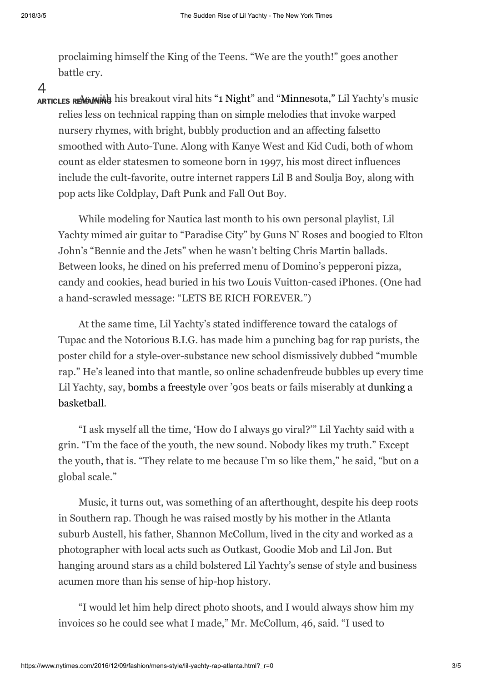proclaiming himself the King of the Teens. "We are the youth!" goes another battle cry.

 $\Delta$ 

ARTICLES REMAINING his breakout viral hits "1 [Night"](https://www.youtube.com/watch?v=251cxou3yR4) and ["Minnesota,"](https://www.youtube.com/watch?v=FvpWJKRPadk) Lil Yachty's music relies less on technical rapping than on simple melodies that invoke warped nursery rhymes, with bright, bubbly production and an affecting falsetto smoothed with Auto-Tune. Along with Kanye West and Kid Cudi, both of whom count as elder statesmen to someone born in 1997, his most direct influences include the cult-favorite, outre internet rappers Lil B and Soulja Boy, along with pop acts like Coldplay, Daft Punk and Fall Out Boy.

While modeling for Nautica last month to his own personal playlist, Lil Yachty mimed air guitar to "Paradise City" by Guns N' Roses and boogied to Elton John's "Bennie and the Jets" when he wasn't belting Chris Martin ballads. Between looks, he dined on his preferred menu of Domino's pepperoni pizza, candy and cookies, head buried in his two Louis Vuitton-cased iPhones. (One had a hand-scrawled message: "LETS BE RICH FOREVER.")

At the same time, Lil Yachty's stated indifference toward the catalogs of Tupac and the Notorious B.I.G. has made him a punching bag for rap purists, the poster child for a style-over-substance new school dismissively dubbed "mumble rap." He's leaned into that mantle, so online schadenfreude bubbles up every time Lil Yachty, say, bombs a [freestyle](http://www.mtv.com/news/2891484/lil-yachty-freestyle-not-a-rapper/) over '90s beats or fails miserably at dunking a [basketball.](http://ftw.usatoday.com/2016/11/rapper-lil-yachty-dunk-fail)

"I ask myself all the time, 'How do I always go viral?'" Lil Yachty said with a grin. "I'm the face of the youth, the new sound. Nobody likes my truth." Except the youth, that is. "They relate to me because I'm so like them," he said, "but on a global scale."

Music, it turns out, was something of an afterthought, despite his deep roots in Southern rap. Though he was raised mostly by his mother in the Atlanta suburb Austell, his father, Shannon McCollum, lived in the city and worked as a photographer with local acts such as Outkast, Goodie Mob and Lil Jon. But hanging around stars as a child bolstered Lil Yachty's sense of style and business acumen more than his sense of hip-hop history.

"I would let him help direct photo shoots, and I would always show him my invoices so he could see what I made," Mr. McCollum, 46, said. "I used to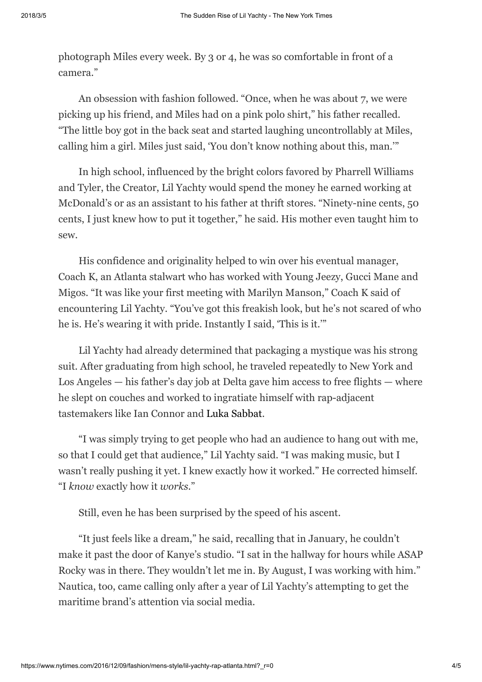photograph Miles every week. By 3 or 4, he was so comfortable in front of a camera."

An obsession with fashion followed. "Once, when he was about 7, we were picking up his friend, and Miles had on a pink polo shirt," his father recalled. "The little boy got in the back seat and started laughing uncontrollably at Miles, calling him a girl. Miles just said, 'You don't know nothing about this, man.'"

In high school, influenced by the bright colors favored by Pharrell Williams and Tyler, the Creator, Lil Yachty would spend the money he earned working at McDonald's or as an assistant to his father at thrift stores. "Ninety-nine cents, 50 cents, I just knew how to put it together," he said. His mother even taught him to sew.

His confidence and originality helped to win over his eventual manager, Coach K, an Atlanta stalwart who has worked with Young Jeezy, Gucci Mane and Migos. "It was like your first meeting with Marilyn Manson," Coach K said of encountering Lil Yachty. "You've got this freakish look, but he's not scared of who he is. He's wearing it with pride. Instantly I said, 'This is it.'"

Lil Yachty had already determined that packaging a mystique was his strong suit. After graduating from high school, he traveled repeatedly to New York and Los Angeles — his father's day job at Delta gave him access to free flights — where he slept on couches and worked to ingratiate himself with rap-adjacent tastemakers like Ian Connor and Luka [Sabbat](http://www.nytimes.com/2016/04/08/fashion/mens-style/luka-sabbat-fashion-influencer.html).

"I was simply trying to get people who had an audience to hang out with me, so that I could get that audience," Lil Yachty said. "I was making music, but I wasn't really pushing it yet. I knew exactly how it worked." He corrected himself. "I *know* exactly how it *works*."

Still, even he has been surprised by the speed of his ascent.

"It just feels like a dream," he said, recalling that in January, he couldn't make it past the door of Kanye's studio. "I sat in the hallway for hours while ASAP Rocky was in there. They wouldn't let me in. By August, I was working with him." Nautica, too, came calling only after a year of Lil Yachty's attempting to get the maritime brand's attention via social media.